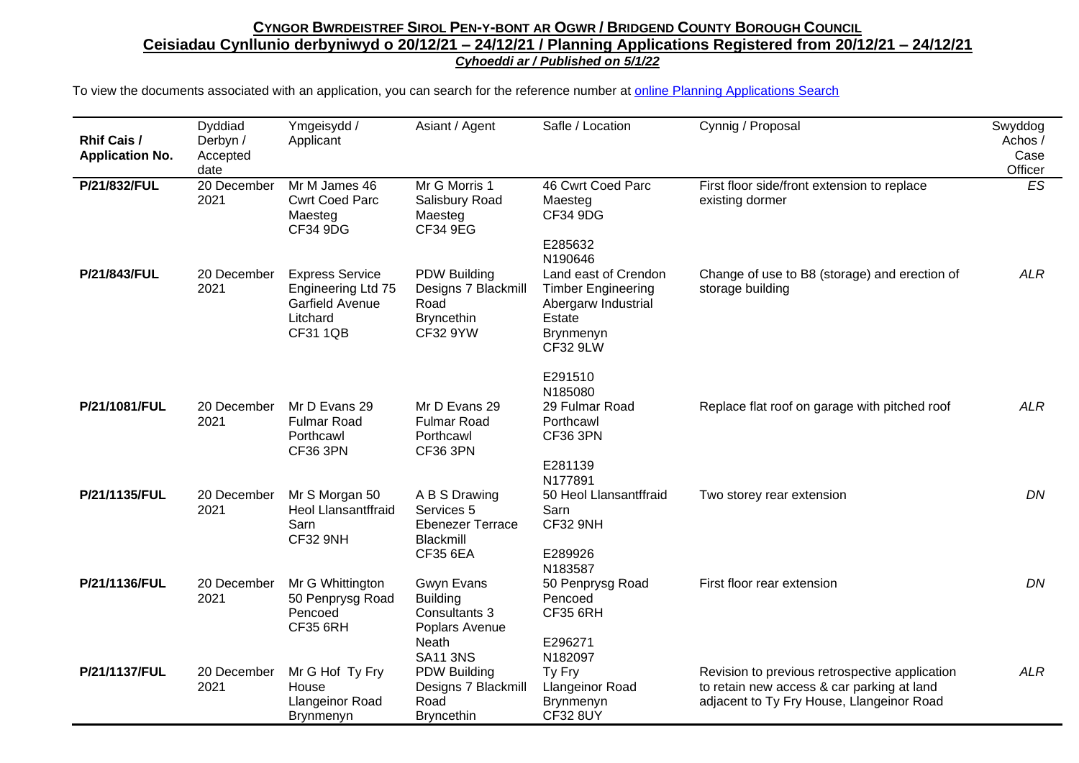| <b>Rhif Cais /</b><br><b>Application No.</b> | Dyddiad<br>Derbyn /<br>Accepted<br>date | Ymgeisydd /<br>Applicant                                                                       | Asiant / Agent                                                                               | Safle / Location                                                                                                                                | Cynnig / Proposal                                                                                                                         | Swyddog<br>Achos/<br>Case<br>Officer |
|----------------------------------------------|-----------------------------------------|------------------------------------------------------------------------------------------------|----------------------------------------------------------------------------------------------|-------------------------------------------------------------------------------------------------------------------------------------------------|-------------------------------------------------------------------------------------------------------------------------------------------|--------------------------------------|
| P/21/832/FUL                                 | 20 December<br>2021                     | Mr M James 46<br><b>Cwrt Coed Parc</b><br>Maesteg<br><b>CF34 9DG</b>                           | Mr G Morris 1<br>Salisbury Road<br>Maesteg<br>CF34 9EG                                       | 46 Cwrt Coed Parc<br>Maesteg<br>CF34 9DG                                                                                                        | First floor side/front extension to replace<br>existing dormer                                                                            | ES                                   |
| P/21/843/FUL                                 | 20 December<br>2021                     | <b>Express Service</b><br>Engineering Ltd 75<br>Garfield Avenue<br>Litchard<br><b>CF31 1QB</b> | <b>PDW Building</b><br>Designs 7 Blackmill<br>Road<br><b>Bryncethin</b><br>CF32 9YW          | E285632<br>N190646<br>Land east of Crendon<br><b>Timber Engineering</b><br>Abergarw Industrial<br>Estate<br><b>Brynmenyn</b><br><b>CF32 9LW</b> | Change of use to B8 (storage) and erection of<br>storage building                                                                         | <b>ALR</b>                           |
| P/21/1081/FUL                                | 20 December<br>2021                     | Mr D Evans 29<br><b>Fulmar Road</b><br>Porthcawl<br><b>CF36 3PN</b>                            | Mr D Evans 29<br><b>Fulmar Road</b><br>Porthcawl<br><b>CF36 3PN</b>                          | E291510<br>N185080<br>29 Fulmar Road<br>Porthcawl<br><b>CF36 3PN</b><br>E281139                                                                 | Replace flat roof on garage with pitched roof                                                                                             | <b>ALR</b>                           |
| P/21/1135/FUL                                | 20 December<br>2021                     | Mr S Morgan 50<br><b>Heol Llansantffraid</b><br>Sarn<br>CF32 9NH                               | A B S Drawing<br>Services 5<br><b>Ebenezer Terrace</b><br>Blackmill<br><b>CF35 6EA</b>       | N177891<br>50 Heol Llansantffraid<br>Sarn<br>CF32 9NH<br>E289926<br>N183587                                                                     | Two storey rear extension                                                                                                                 | DN                                   |
| P/21/1136/FUL                                | 20 December<br>2021                     | Mr G Whittington<br>50 Penprysg Road<br>Pencoed<br><b>CF35 6RH</b>                             | Gwyn Evans<br><b>Building</b><br>Consultants 3<br>Poplars Avenue<br>Neath<br><b>SA11 3NS</b> | 50 Penprysg Road<br>Pencoed<br><b>CF35 6RH</b><br>E296271<br>N182097                                                                            | First floor rear extension                                                                                                                | DN                                   |
| P/21/1137/FUL                                | 20 December<br>2021                     | Mr G Hof Ty Fry<br>House<br>Llangeinor Road<br>Brynmenyn                                       | <b>PDW Building</b><br>Designs 7 Blackmill<br>Road<br><b>Bryncethin</b>                      | Ty Fry<br><b>Llangeinor Road</b><br>Brynmenyn<br><b>CF32 8UY</b>                                                                                | Revision to previous retrospective application<br>to retain new access & car parking at land<br>adjacent to Ty Fry House, Llangeinor Road | <b>ALR</b>                           |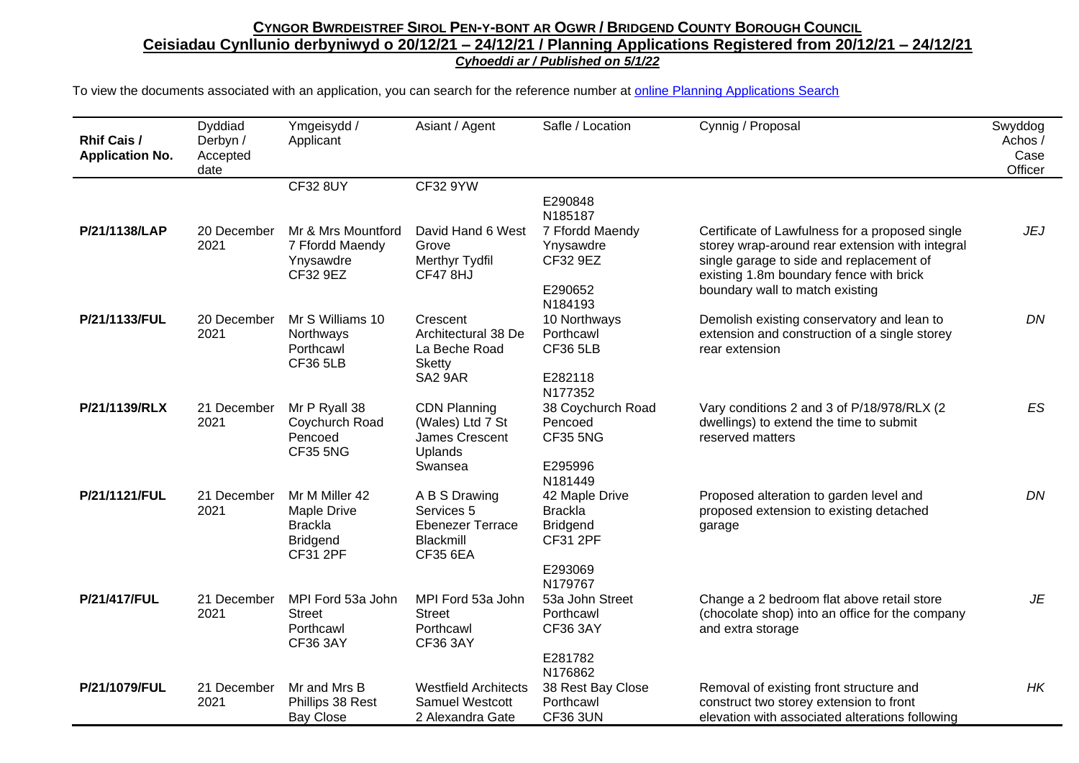| <b>Rhif Cais /</b><br><b>Application No.</b> | Dyddiad<br>Derbyn /<br>Accepted<br>date | Ymgeisydd /<br>Applicant                                                              | Asiant / Agent                                                                           | Safle / Location                                                                                        | Cynnig / Proposal                                                                                                                                                                                                            | Swyddog<br>Achos /<br>Case<br>Officer |
|----------------------------------------------|-----------------------------------------|---------------------------------------------------------------------------------------|------------------------------------------------------------------------------------------|---------------------------------------------------------------------------------------------------------|------------------------------------------------------------------------------------------------------------------------------------------------------------------------------------------------------------------------------|---------------------------------------|
|                                              |                                         | <b>CF32 8UY</b>                                                                       | CF32 9YW                                                                                 |                                                                                                         |                                                                                                                                                                                                                              |                                       |
|                                              |                                         |                                                                                       |                                                                                          | E290848<br>N185187                                                                                      |                                                                                                                                                                                                                              |                                       |
| P/21/1138/LAP                                | 20 December<br>2021                     | Mr & Mrs Mountford<br>7 Ffordd Maendy<br>Ynysawdre<br>CF32 9EZ                        | David Hand 6 West<br>Grove<br>Merthyr Tydfil<br>CF478HJ                                  | 7 Ffordd Maendy<br>Ynysawdre<br>CF32 9EZ<br>E290652                                                     | Certificate of Lawfulness for a proposed single<br>storey wrap-around rear extension with integral<br>single garage to side and replacement of<br>existing 1.8m boundary fence with brick<br>boundary wall to match existing | <b>JEJ</b>                            |
| P/21/1133/FUL                                | 20 December<br>2021                     | Mr S Williams 10<br>Northways<br>Porthcawl<br><b>CF36 5LB</b>                         | Crescent<br>Architectural 38 De<br>La Beche Road<br><b>Sketty</b><br>SA <sub>2</sub> 9AR | N184193<br>10 Northways<br>Porthcawl<br><b>CF36 5LB</b><br>E282118                                      | Demolish existing conservatory and lean to<br>extension and construction of a single storey<br>rear extension                                                                                                                | DN                                    |
|                                              |                                         |                                                                                       |                                                                                          | N177352                                                                                                 |                                                                                                                                                                                                                              |                                       |
| P/21/1139/RLX                                | 21 December<br>2021                     | Mr P Ryall 38<br>Coychurch Road<br>Pencoed<br><b>CF35 5NG</b>                         | <b>CDN Planning</b><br>(Wales) Ltd 7 St<br>James Crescent<br><b>Uplands</b><br>Swansea   | 38 Coychurch Road<br>Pencoed<br><b>CF35 5NG</b><br>E295996                                              | Vary conditions 2 and 3 of P/18/978/RLX (2<br>dwellings) to extend the time to submit<br>reserved matters                                                                                                                    | <b>ES</b>                             |
| P/21/1121/FUL                                | 21 December<br>2021                     | Mr M Miller 42<br>Maple Drive<br><b>Brackla</b><br><b>Bridgend</b><br><b>CF31 2PF</b> | A B S Drawing<br>Services 5<br><b>Ebenezer Terrace</b><br>Blackmill<br><b>CF35 6EA</b>   | N181449<br>42 Maple Drive<br><b>Brackla</b><br><b>Bridgend</b><br><b>CF31 2PF</b><br>E293069<br>N179767 | Proposed alteration to garden level and<br>proposed extension to existing detached<br>garage                                                                                                                                 | DN                                    |
| P/21/417/FUL                                 | 21 December<br>2021                     | MPI Ford 53a John<br><b>Street</b><br>Porthcawl<br><b>CF36 3AY</b>                    | MPI Ford 53a John<br><b>Street</b><br>Porthcawl<br><b>CF36 3AY</b>                       | 53a John Street<br>Porthcawl<br><b>CF36 3AY</b><br>E281782<br>N176862                                   | Change a 2 bedroom flat above retail store<br>(chocolate shop) into an office for the company<br>and extra storage                                                                                                           | JE                                    |
| P/21/1079/FUL                                | 21 December<br>2021                     | Mr and Mrs B<br>Phillips 38 Rest<br><b>Bay Close</b>                                  | <b>Westfield Architects</b><br><b>Samuel Westcott</b><br>2 Alexandra Gate                | 38 Rest Bay Close<br>Porthcawl<br><b>CF36 3UN</b>                                                       | Removal of existing front structure and<br>construct two storey extension to front<br>elevation with associated alterations following                                                                                        | HK                                    |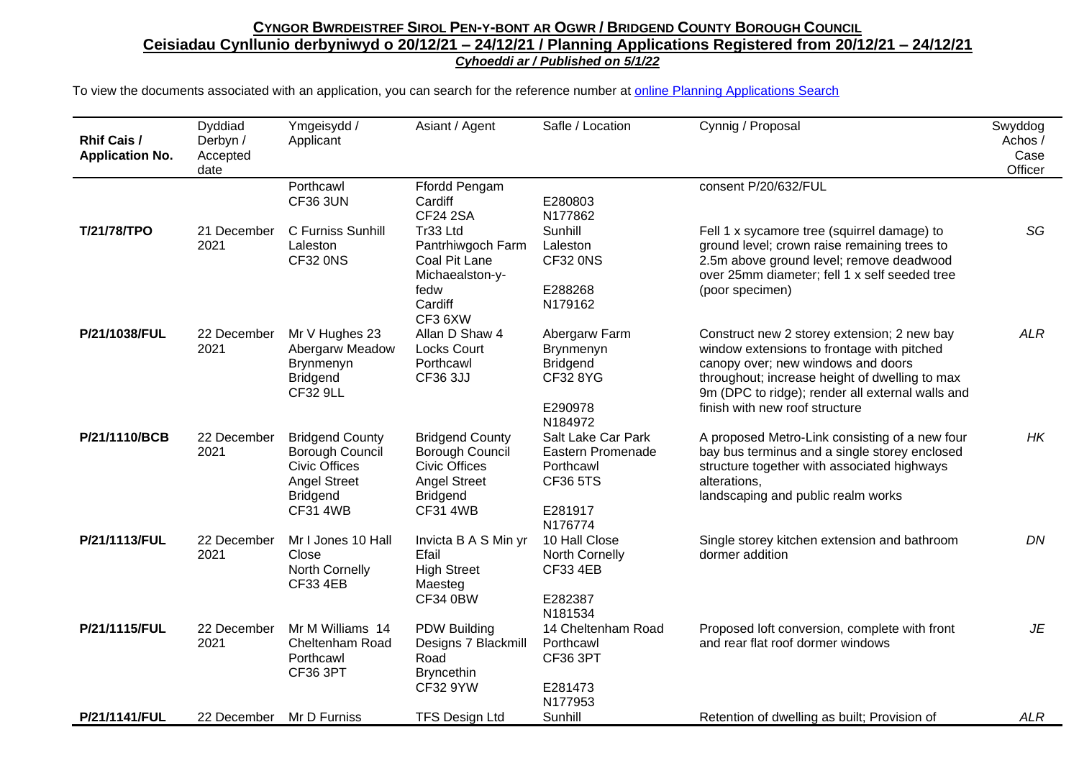| <b>Rhif Cais /</b><br><b>Application No.</b> | Dyddiad<br>Derbyn /<br>Accepted<br>date | Ymgeisydd /<br>Applicant                                                                                                              | Asiant / Agent                                                                                                                 | Safle / Location                                                                              | Cynnig / Proposal                                                                                                                                                                                                                                                       | Swyddog<br>Achos /<br>Case<br>Officer |
|----------------------------------------------|-----------------------------------------|---------------------------------------------------------------------------------------------------------------------------------------|--------------------------------------------------------------------------------------------------------------------------------|-----------------------------------------------------------------------------------------------|-------------------------------------------------------------------------------------------------------------------------------------------------------------------------------------------------------------------------------------------------------------------------|---------------------------------------|
|                                              |                                         | Porthcawl<br><b>CF36 3UN</b>                                                                                                          | Ffordd Pengam<br>Cardiff<br><b>CF24 2SA</b>                                                                                    | E280803<br>N177862                                                                            | consent P/20/632/FUL                                                                                                                                                                                                                                                    |                                       |
| T/21/78/TPO                                  | 21 December<br>2021                     | C Furniss Sunhill<br>Laleston<br>CF32 0NS                                                                                             | Tr33 Ltd<br>Pantrhiwgoch Farm<br>Coal Pit Lane<br>Michaealston-y-                                                              | Sunhill<br>Laleston<br>CF32 0NS                                                               | Fell 1 x sycamore tree (squirrel damage) to<br>ground level; crown raise remaining trees to<br>2.5m above ground level; remove deadwood<br>over 25mm diameter; fell 1 x self seeded tree                                                                                | SG                                    |
|                                              |                                         |                                                                                                                                       | fedw<br>Cardiff<br>CF3 6XW                                                                                                     | E288268<br>N179162                                                                            | (poor specimen)                                                                                                                                                                                                                                                         |                                       |
| P/21/1038/FUL                                | 22 December<br>2021                     | Mr V Hughes 23<br>Abergarw Meadow<br>Brynmenyn<br><b>Bridgend</b><br><b>CF32 9LL</b>                                                  | Allan D Shaw 4<br><b>Locks Court</b><br>Porthcawl<br>CF36 3JJ                                                                  | Abergarw Farm<br>Brynmenyn<br><b>Bridgend</b><br>CF32 8YG<br>E290978<br>N184972               | Construct new 2 storey extension; 2 new bay<br>window extensions to frontage with pitched<br>canopy over; new windows and doors<br>throughout; increase height of dwelling to max<br>9m (DPC to ridge); render all external walls and<br>finish with new roof structure | <b>ALR</b>                            |
| P/21/1110/BCB                                | 22 December<br>2021                     | <b>Bridgend County</b><br><b>Borough Council</b><br><b>Civic Offices</b><br><b>Angel Street</b><br><b>Bridgend</b><br><b>CF31 4WB</b> | <b>Bridgend County</b><br>Borough Council<br><b>Civic Offices</b><br><b>Angel Street</b><br><b>Bridgend</b><br><b>CF31 4WB</b> | Salt Lake Car Park<br>Eastern Promenade<br>Porthcawl<br><b>CF36 5TS</b><br>E281917<br>N176774 | A proposed Metro-Link consisting of a new four<br>bay bus terminus and a single storey enclosed<br>structure together with associated highways<br>alterations,<br>landscaping and public realm works                                                                    | HK                                    |
| P/21/1113/FUL                                | 22 December<br>2021                     | Mr I Jones 10 Hall<br>Close<br>North Cornelly<br><b>CF33 4EB</b>                                                                      | Invicta B A S Min yr<br>Efail<br><b>High Street</b><br>Maesteg<br><b>CF34 0BW</b>                                              | 10 Hall Close<br>North Cornelly<br><b>CF33 4EB</b><br>E282387<br>N181534                      | Single storey kitchen extension and bathroom<br>dormer addition                                                                                                                                                                                                         | DN                                    |
| P/21/1115/FUL                                | 22 December<br>2021                     | Mr M Williams 14<br>Cheltenham Road<br>Porthcawl<br>CF36 3PT                                                                          | PDW Building<br>Designs 7 Blackmill<br>Road<br><b>Bryncethin</b><br><b>CF32 9YW</b>                                            | 14 Cheltenham Road<br>Porthcawl<br>CF36 3PT<br>E281473<br>N177953                             | Proposed loft conversion, complete with front<br>and rear flat roof dormer windows                                                                                                                                                                                      | JE                                    |
| P/21/1141/FUL                                | 22 December                             | Mr D Furniss                                                                                                                          | <b>TFS Design Ltd</b>                                                                                                          | Sunhill                                                                                       | Retention of dwelling as built; Provision of                                                                                                                                                                                                                            | ALR                                   |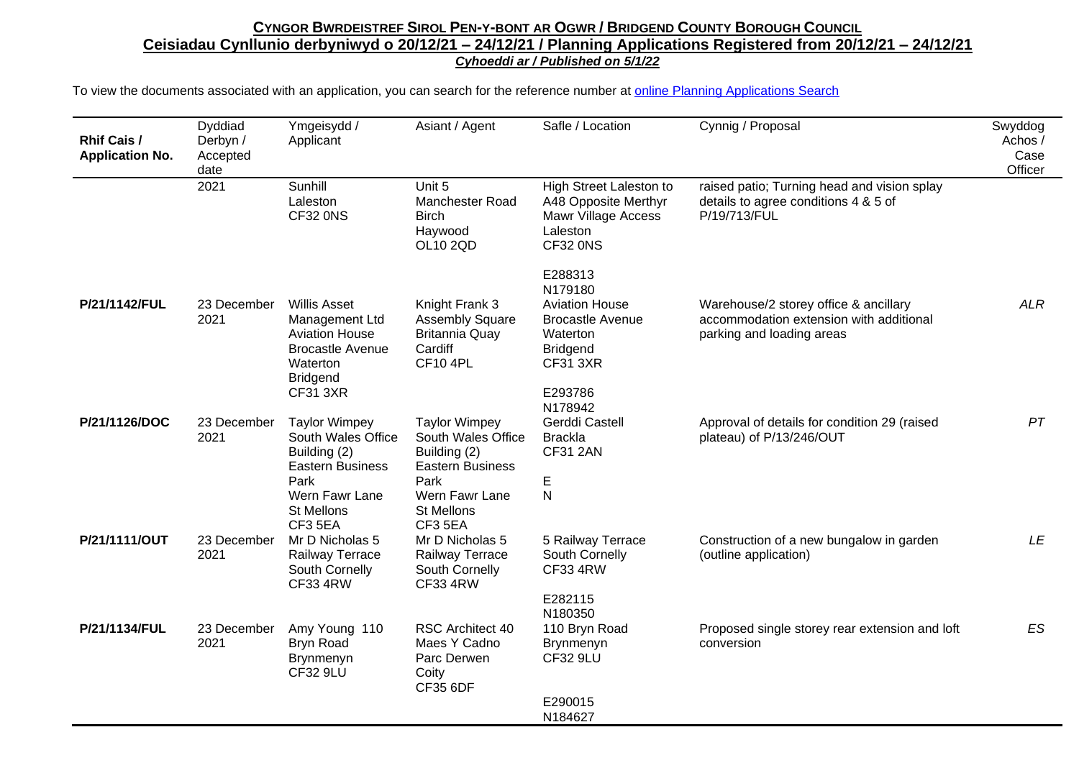| Rhif Cais /<br><b>Application No.</b> | <b>Dyddiad</b><br>Derbyn /<br>Accepted<br>date | Ymgeisydd /<br>Applicant                                                                                                                         | Asiant / Agent                                                                                                                | Safle / Location                                                                                                         | Cynnig / Proposal                                                                                             | Swyddog<br>Achos /<br>Case<br>Officer |
|---------------------------------------|------------------------------------------------|--------------------------------------------------------------------------------------------------------------------------------------------------|-------------------------------------------------------------------------------------------------------------------------------|--------------------------------------------------------------------------------------------------------------------------|---------------------------------------------------------------------------------------------------------------|---------------------------------------|
|                                       | 2021                                           | Sunhill<br>Laleston<br><b>CF32 0NS</b>                                                                                                           | Unit 5<br><b>Manchester Road</b><br><b>Birch</b><br>Haywood<br>OL10 2QD                                                       | High Street Laleston to<br>A48 Opposite Merthyr<br>Mawr Village Access<br>Laleston<br><b>CF32 0NS</b>                    | raised patio; Turning head and vision splay<br>details to agree conditions 4 & 5 of<br>P/19/713/FUL           |                                       |
| P/21/1142/FUL                         | 23 December<br>2021                            | <b>Willis Asset</b><br>Management Ltd<br><b>Aviation House</b><br><b>Brocastle Avenue</b><br>Waterton<br><b>Bridgend</b>                         | Knight Frank 3<br><b>Assembly Square</b><br><b>Britannia Quay</b><br>Cardiff<br><b>CF10 4PL</b>                               | E288313<br>N179180<br><b>Aviation House</b><br><b>Brocastle Avenue</b><br>Waterton<br><b>Bridgend</b><br><b>CF31 3XR</b> | Warehouse/2 storey office & ancillary<br>accommodation extension with additional<br>parking and loading areas | <b>ALR</b>                            |
| P/21/1126/DOC                         | 23 December<br>2021                            | <b>CF31 3XR</b><br><b>Taylor Wimpey</b><br>South Wales Office<br>Building (2)<br><b>Eastern Business</b><br>Park<br>Wern Fawr Lane<br>St Mellons | <b>Taylor Wimpey</b><br>South Wales Office<br>Building (2)<br><b>Eastern Business</b><br>Park<br>Wern Fawr Lane<br>St Mellons | E293786<br>N178942<br>Gerddi Castell<br><b>Brackla</b><br><b>CF31 2AN</b><br>E<br>${\sf N}$                              | Approval of details for condition 29 (raised<br>plateau) of P/13/246/OUT                                      | PT                                    |
| P/21/1111/OUT                         | 23 December<br>2021                            | CF3 5EA<br>Mr D Nicholas 5<br>Railway Terrace<br>South Cornelly<br><b>CF33 4RW</b>                                                               | CF3 5EA<br>Mr D Nicholas 5<br>Railway Terrace<br>South Cornelly<br><b>CF33 4RW</b>                                            | 5 Railway Terrace<br>South Cornelly<br><b>CF33 4RW</b>                                                                   | Construction of a new bungalow in garden<br>(outline application)                                             | LE                                    |
| P/21/1134/FUL                         | 23 December<br>2021                            | Amy Young 110<br>Bryn Road<br>Brynmenyn<br><b>CF32 9LU</b>                                                                                       | RSC Architect 40<br>Maes Y Cadno<br>Parc Derwen<br>Coity<br><b>CF35 6DF</b>                                                   | E282115<br>N180350<br>110 Bryn Road<br><b>Brynmenyn</b><br><b>CF32 9LU</b><br>E290015<br>N184627                         | Proposed single storey rear extension and loft<br>conversion                                                  | <b>ES</b>                             |